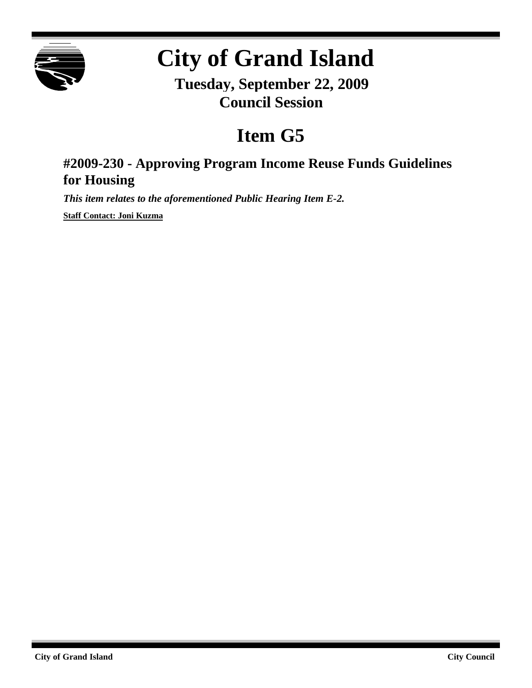

# **City of Grand Island**

**Tuesday, September 22, 2009 Council Session**

# **Item G5**

## **#2009-230 - Approving Program Income Reuse Funds Guidelines for Housing**

*This item relates to the aforementioned Public Hearing Item E-2.*

**Staff Contact: Joni Kuzma**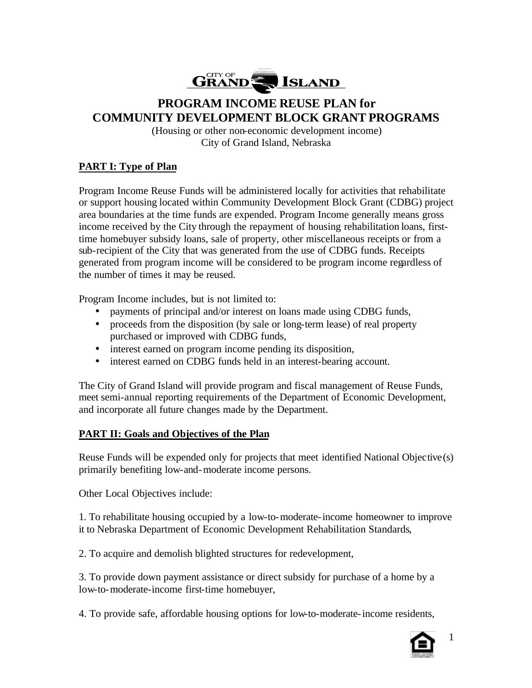

### **PROGRAM INCOME REUSE PLAN for COMMUNITY DEVELOPMENT BLOCK GRANT PROGRAMS**

(Housing or other non-economic development income) City of Grand Island, Nebraska

#### **PART I: Type of Plan**

Program Income Reuse Funds will be administered locally for activities that rehabilitate or support housing located within Community Development Block Grant (CDBG) project area boundaries at the time funds are expended. Program Income generally means gross income received by the City through the repayment of housing rehabilitation loans, firsttime homebuyer subsidy loans, sale of property, other miscellaneous receipts or from a sub-recipient of the City that was generated from the use of CDBG funds. Receipts generated from program income will be considered to be program income regardless of the number of times it may be reused.

Program Income includes, but is not limited to:

- payments of principal and/or interest on loans made using CDBG funds,
- proceeds from the disposition (by sale or long-term lease) of real property purchased or improved with CDBG funds,
- interest earned on program income pending its disposition,
- interest earned on CDBG funds held in an interest-bearing account.

The City of Grand Island will provide program and fiscal management of Reuse Funds, meet semi-annual reporting requirements of the Department of Economic Development, and incorporate all future changes made by the Department.

#### **PART II: Goals and Objectives of the Plan**

Reuse Funds will be expended only for projects that meet identified National Objective(s) primarily benefiting low-and-moderate income persons.

Other Local Objectives include:

1. To rehabilitate housing occupied by a low-to-moderate-income homeowner to improve it to Nebraska Department of Economic Development Rehabilitation Standards,

2. To acquire and demolish blighted structures for redevelopment,

3. To provide down payment assistance or direct subsidy for purchase of a home by a low-to-moderate-income first-time homebuyer,

4. To provide safe, affordable housing options for low-to-moderate-income residents,



1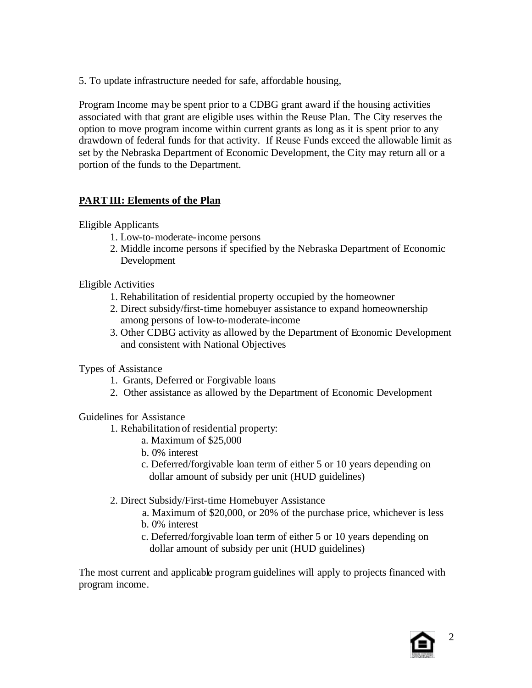5. To update infrastructure needed for safe, affordable housing,

Program Income may be spent prior to a CDBG grant award if the housing activities associated with that grant are eligible uses within the Reuse Plan. The City reserves the option to move program income within current grants as long as it is spent prior to any drawdown of federal funds for that activity. If Reuse Funds exceed the allowable limit as set by the Nebraska Department of Economic Development, the City may return all or a portion of the funds to the Department.

#### **PART III: Elements of the Plan**

Eligible Applicants

- 1. Low-to-moderate-income persons
- 2. Middle income persons if specified by the Nebraska Department of Economic Development

Eligible Activities

- 1. Rehabilitation of residential property occupied by the homeowner
- 2. Direct subsidy/first-time homebuyer assistance to expand homeownership among persons of low-to-moderate-income
- 3. Other CDBG activity as allowed by the Department of Economic Development and consistent with National Objectives

Types of Assistance

- 1. Grants, Deferred or Forgivable loans
- 2. Other assistance as allowed by the Department of Economic Development

#### Guidelines for Assistance

1. Rehabilitation of residential property:

- a. Maximum of \$25,000
- b. 0% interest
- c. Deferred/forgivable loan term of either 5 or 10 years depending on dollar amount of subsidy per unit (HUD guidelines)
- 2. Direct Subsidy/First-time Homebuyer Assistance
	- a. Maximum of \$20,000, or 20% of the purchase price, whichever is less b. 0% interest
	- c. Deferred/forgivable loan term of either 5 or 10 years depending on dollar amount of subsidy per unit (HUD guidelines)

The most current and applicable program guidelines will apply to projects financed with program income.

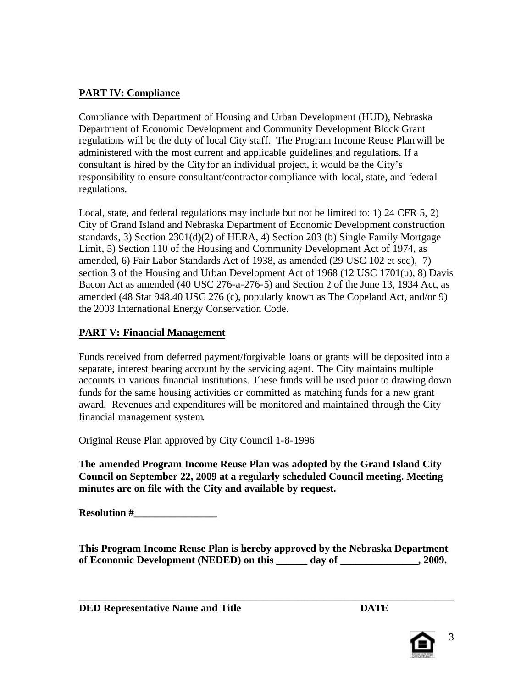#### **PART IV: Compliance**

Compliance with Department of Housing and Urban Development (HUD), Nebraska Department of Economic Development and Community Development Block Grant regulations will be the duty of local City staff. The Program Income Reuse Plan will be administered with the most current and applicable guidelines and regulations. If a consultant is hired by the City for an individual project, it would be the City's responsibility to ensure consultant/contractor compliance with local, state, and federal regulations.

Local, state, and federal regulations may include but not be limited to: 1) 24 CFR 5, 2) City of Grand Island and Nebraska Department of Economic Development construction standards, 3) Section 2301(d)(2) of HERA, 4) Section 203 (b) Single Family Mortgage Limit, 5) Section 110 of the Housing and Community Development Act of 1974, as amended, 6) Fair Labor Standards Act of 1938, as amended (29 USC 102 et seq), 7) section 3 of the Housing and Urban Development Act of 1968 (12 USC 1701(u), 8) Davis Bacon Act as amended (40 USC 276-a-276-5) and Section 2 of the June 13, 1934 Act, as amended (48 Stat 948.40 USC 276 (c), popularly known as The Copeland Act, and/or 9) the 2003 International Energy Conservation Code.

#### **PART V: Financial Management**

Funds received from deferred payment/forgivable loans or grants will be deposited into a separate, interest bearing account by the servicing agent. The City maintains multiple accounts in various financial institutions. These funds will be used prior to drawing down funds for the same housing activities or committed as matching funds for a new grant award. Revenues and expenditures will be monitored and maintained through the City financial management system.

Original Reuse Plan approved by City Council 1-8-1996

**The amended Program Income Reuse Plan was adopted by the Grand Island City Council on September 22, 2009 at a regularly scheduled Council meeting. Meeting minutes are on file with the City and available by request.** 

**Resolution #\_\_\_\_\_\_\_\_\_\_\_\_\_\_\_\_**

**This Program Income Reuse Plan is hereby approved by the Nebraska Department of Economic Development (NEDED) on this \_\_\_\_\_\_ day of \_\_\_\_\_\_\_\_\_\_\_\_\_\_\_, 2009.**

\_\_\_\_\_\_\_\_\_\_\_\_\_\_\_\_\_\_\_\_\_\_\_\_\_\_\_\_\_\_\_\_\_\_\_\_\_\_\_\_\_\_\_\_\_\_\_\_\_\_\_\_\_\_\_\_\_\_\_\_\_\_\_\_\_\_\_\_\_\_\_\_